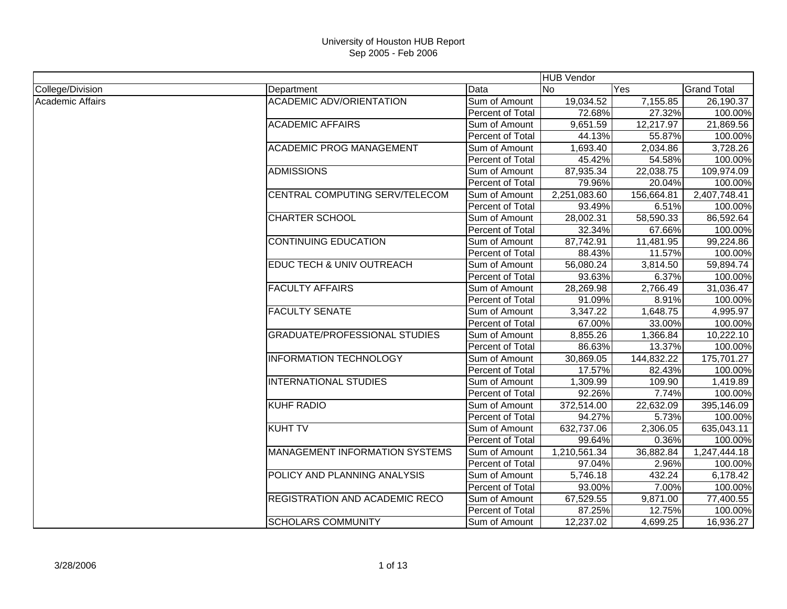|                         |                                       |                         | <b>HUB Vendor</b> |                     |                    |
|-------------------------|---------------------------------------|-------------------------|-------------------|---------------------|--------------------|
| College/Division        | Department                            | Data                    | <b>No</b>         | Yes                 | <b>Grand Total</b> |
| <b>Academic Affairs</b> | <b>ACADEMIC ADV/ORIENTATION</b>       | Sum of Amount           | 19,034.52         | 7,155.85            | 26,190.37          |
|                         |                                       | Percent of Total        | 72.68%            | 27.32%              | 100.00%            |
|                         | <b>ACADEMIC AFFAIRS</b>               | Sum of Amount           | 9,651.59          | 12,217.97           | 21,869.56          |
|                         |                                       | Percent of Total        | 44.13%            | 55.87%              | 100.00%            |
|                         | <b>ACADEMIC PROG MANAGEMENT</b>       | Sum of Amount           | 1,693.40          | 2,034.86            | 3,728.26           |
|                         |                                       | Percent of Total        | 45.42%            | 54.58%              | 100.00%            |
|                         | <b>ADMISSIONS</b>                     | Sum of Amount           | 87,935.34         | 22,038.75           | 109,974.09         |
|                         |                                       | Percent of Total        | 79.96%            | 20.04%              | 100.00%            |
|                         | CENTRAL COMPUTING SERV/TELECOM        | Sum of Amount           | 2,251,083.60      | 156,664.81          | 2,407,748.41       |
|                         |                                       | Percent of Total        | 93.49%            | 6.51%               | 100.00%            |
|                         | <b>CHARTER SCHOOL</b>                 | Sum of Amount           | 28,002.31         | 58,590.33           | 86,592.64          |
|                         |                                       | Percent of Total        | 32.34%            | 67.66%              | 100.00%            |
|                         | <b>CONTINUING EDUCATION</b>           | Sum of Amount           | 87,742.91         | 11,481.95           | 99,224.86          |
|                         |                                       | Percent of Total        | 88.43%            | 11.57%              | 100.00%            |
|                         | EDUC TECH & UNIV OUTREACH             | Sum of Amount           | 56,080.24         | 3,814.50            | 59,894.74          |
|                         |                                       | Percent of Total        | 93.63%            | 6.37%               | 100.00%            |
|                         | <b>FACULTY AFFAIRS</b>                | Sum of Amount           | 28,269.98         | 2,766.49            | 31,036.47          |
|                         |                                       | Percent of Total        | 91.09%            | 8.91%               | 100.00%            |
|                         | <b>FACULTY SENATE</b>                 | Sum of Amount           | 3,347.22          | 1,648.75            | 4,995.97           |
|                         |                                       | Percent of Total        | 67.00%            | 33.00%              | 100.00%            |
|                         | <b>GRADUATE/PROFESSIONAL STUDIES</b>  | Sum of Amount           | 8,855.26          | 1,366.84            | 10,222.10          |
|                         |                                       | Percent of Total        | 86.63%            | 13.37%              | 100.00%            |
|                         | <b>INFORMATION TECHNOLOGY</b>         | Sum of Amount           | 30,869.05         | 144,832.22          | 175,701.27         |
|                         |                                       | Percent of Total        | 17.57%            | 82.43%              | 100.00%            |
|                         | <b>INTERNATIONAL STUDIES</b>          | Sum of Amount           | 1,309.99          | 109.90              | 1,419.89           |
|                         |                                       | Percent of Total        | 92.26%            | 7.74%               | 100.00%            |
|                         | <b>KUHF RADIO</b>                     | Sum of Amount           | 372,514.00        | 22,632.09           | 395,146.09         |
|                         |                                       | Percent of Total        | 94.27%            | 5.73%               | 100.00%            |
|                         | <b>KUHT TV</b>                        | Sum of Amount           | 632,737.06        | 2,306.05            | 635,043.11         |
|                         |                                       | Percent of Total        | 99.64%            | 0.36%               | 100.00%            |
|                         | <b>MANAGEMENT INFORMATION SYSTEMS</b> | Sum of Amount           | 1,210,561.34      | 36,882.84           | 1,247,444.18       |
|                         |                                       | Percent of Total        | 97.04%            | 2.96%               | 100.00%            |
|                         | POLICY AND PLANNING ANALYSIS          | Sum of Amount           | 5,746.18          | $\overline{432.24}$ | 6,178.42           |
|                         |                                       | Percent of Total        | 93.00%            | 7.00%               | 100.00%            |
|                         | <b>REGISTRATION AND ACADEMIC RECO</b> | Sum of Amount           | 67,529.55         | 9,871.00            | 77,400.55          |
|                         |                                       | <b>Percent of Total</b> | 87.25%            | 12.75%              | 100.00%            |
|                         | <b>SCHOLARS COMMUNITY</b>             | Sum of Amount           | 12,237.02         | 4,699.25            | 16,936.27          |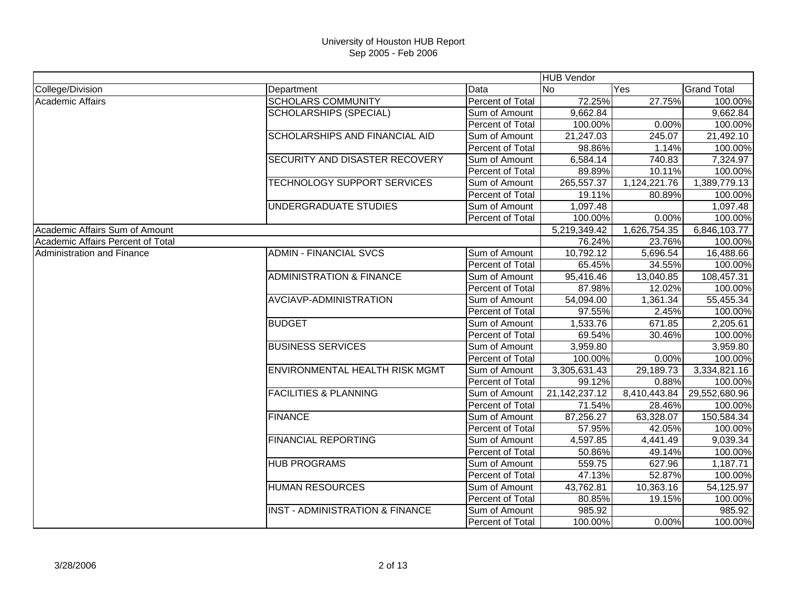|                                   |                                            |                  |                  | <b>HUB Vendor</b> |                    |  |  |
|-----------------------------------|--------------------------------------------|------------------|------------------|-------------------|--------------------|--|--|
| College/Division                  | Department                                 | Data             | <b>No</b>        | Yes               | <b>Grand Total</b> |  |  |
| Academic Affairs                  | <b>SCHOLARS COMMUNITY</b>                  | Percent of Total | 72.25%           | 27.75%            | 100.00%            |  |  |
|                                   | <b>SCHOLARSHIPS (SPECIAL)</b>              | Sum of Amount    | 9,662.84         |                   | 9,662.84           |  |  |
|                                   |                                            | Percent of Total | 100.00%          | 0.00%             | 100.00%            |  |  |
|                                   | SCHOLARSHIPS AND FINANCIAL AID             | Sum of Amount    | 21,247.03        | 245.07            | 21,492.10          |  |  |
|                                   |                                            | Percent of Total | 98.86%           | 1.14%             | 100.00%            |  |  |
|                                   | SECURITY AND DISASTER RECOVERY             | Sum of Amount    | 6,584.14         | 740.83            | 7,324.97           |  |  |
|                                   |                                            | Percent of Total | 89.89%           | 10.11%            | 100.00%            |  |  |
|                                   | TECHNOLOGY SUPPORT SERVICES                | Sum of Amount    | 265,557.37       | 1,124,221.76      | 1,389,779.13       |  |  |
|                                   |                                            | Percent of Total | 19.11%           | 80.89%            | 100.00%            |  |  |
|                                   | UNDERGRADUATE STUDIES                      | Sum of Amount    | 1,097.48         |                   | 1,097.48           |  |  |
|                                   |                                            | Percent of Total | 100.00%          | 0.00%             | 100.00%            |  |  |
| Academic Affairs Sum of Amount    |                                            |                  | 5,219,349.42     | 1,626,754.35      | 6,846,103.77       |  |  |
| Academic Affairs Percent of Total |                                            |                  | 76.24%           | 23.76%            | 100.00%            |  |  |
| Administration and Finance        | <b>ADMIN - FINANCIAL SVCS</b>              | Sum of Amount    | 10,792.12        | 5,696.54          | 16,488.66          |  |  |
|                                   |                                            | Percent of Total | 65.45%           | 34.55%            | 100.00%            |  |  |
|                                   | <b>ADMINISTRATION &amp; FINANCE</b>        | Sum of Amount    | 95,416.46        | 13,040.85         | 108,457.31         |  |  |
|                                   |                                            | Percent of Total | 87.98%           | 12.02%            | 100.00%            |  |  |
|                                   | AVCIAVP-ADMINISTRATION                     | Sum of Amount    | 54,094.00        | 1,361.34          | 55,455.34          |  |  |
|                                   |                                            | Percent of Total | 97.55%           | 2.45%             | 100.00%            |  |  |
|                                   | <b>BUDGET</b>                              | Sum of Amount    | 1,533.76         | 671.85            | 2,205.61           |  |  |
|                                   |                                            | Percent of Total | 69.54%           | 30.46%            | 100.00%            |  |  |
|                                   | <b>BUSINESS SERVICES</b>                   | Sum of Amount    | 3,959.80         |                   | 3,959.80           |  |  |
|                                   |                                            | Percent of Total | 100.00%          | 0.00%             | 100.00%            |  |  |
|                                   | ENVIRONMENTAL HEALTH RISK MGMT             | Sum of Amount    | 3,305,631.43     | 29,189.73         | 3,334,821.16       |  |  |
|                                   |                                            | Percent of Total | 99.12%           | 0.88%             | 100.00%            |  |  |
|                                   | <b>FACILITIES &amp; PLANNING</b>           | Sum of Amount    | 21, 142, 237. 12 | 8,410,443.84      | 29,552,680.96      |  |  |
|                                   |                                            | Percent of Total | 71.54%           | 28.46%            | 100.00%            |  |  |
|                                   | <b>FINANCE</b>                             | Sum of Amount    | 87,256.27        | 63,328.07         | 150,584.34         |  |  |
|                                   |                                            | Percent of Total | 57.95%           | 42.05%            | 100.00%            |  |  |
|                                   | <b>FINANCIAL REPORTING</b>                 | Sum of Amount    | 4,597.85         | 4,441.49          | 9,039.34           |  |  |
|                                   |                                            | Percent of Total | 50.86%           | 49.14%            | 100.00%            |  |  |
|                                   | <b>HUB PROGRAMS</b>                        | Sum of Amount    | 559.75           | 627.96            | 1,187.71           |  |  |
|                                   |                                            | Percent of Total | 47.13%           | 52.87%            | 100.00%            |  |  |
|                                   | <b>HUMAN RESOURCES</b>                     | Sum of Amount    | 43,762.81        | 10,363.16         | 54,125.97          |  |  |
|                                   |                                            | Percent of Total | 80.85%           | 19.15%            | 100.00%            |  |  |
|                                   | <b>INST - ADMINISTRATION &amp; FINANCE</b> | Sum of Amount    | 985.92           |                   | 985.92             |  |  |
|                                   |                                            | Percent of Total | 100.00%          | 0.00%             | 100.00%            |  |  |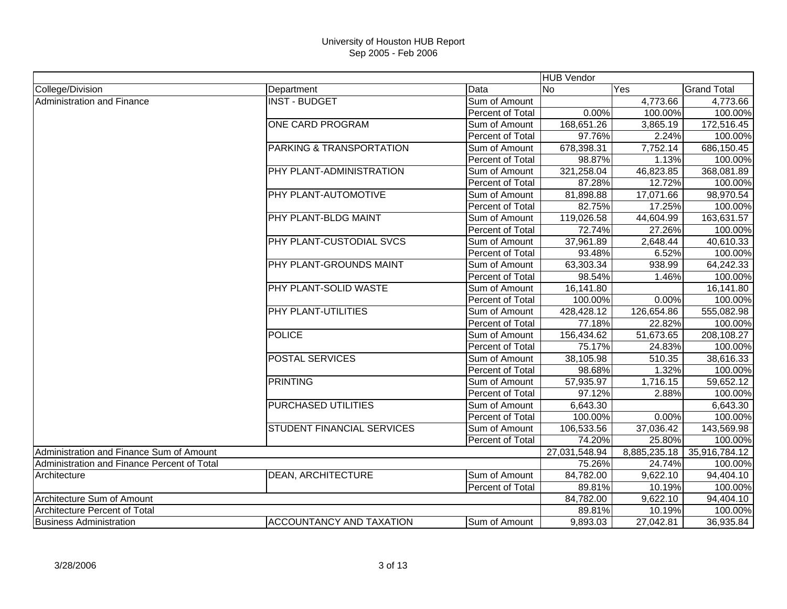|                                             |                                   |                  | <b>HUB</b> Vendor |              |                    |
|---------------------------------------------|-----------------------------------|------------------|-------------------|--------------|--------------------|
| College/Division                            | Department                        | Data             | <b>No</b>         | Yes          | <b>Grand Total</b> |
| Administration and Finance                  | <b>INST - BUDGET</b>              | Sum of Amount    |                   | 4,773.66     | 4,773.66           |
|                                             |                                   | Percent of Total | 0.00%             | 100.00%      | 100.00%            |
|                                             | <b>ONE CARD PROGRAM</b>           | Sum of Amount    | 168,651.26        | 3,865.19     | 172,516.45         |
|                                             |                                   | Percent of Total | 97.76%            | 2.24%        | 100.00%            |
|                                             | PARKING & TRANSPORTATION          | Sum of Amount    | 678,398.31        | 7,752.14     | 686,150.45         |
|                                             |                                   | Percent of Total | 98.87%            | 1.13%        | 100.00%            |
|                                             | PHY PLANT-ADMINISTRATION          | Sum of Amount    | 321,258.04        | 46,823.85    | 368,081.89         |
|                                             |                                   | Percent of Total | 87.28%            | 12.72%       | 100.00%            |
|                                             | PHY PLANT-AUTOMOTIVE              | Sum of Amount    | 81,898.88         | 17,071.66    | 98,970.54          |
|                                             |                                   | Percent of Total | 82.75%            | 17.25%       | 100.00%            |
|                                             | PHY PLANT-BLDG MAINT              | Sum of Amount    | 119,026.58        | 44,604.99    | 163,631.57         |
|                                             |                                   | Percent of Total | 72.74%            | 27.26%       | 100.00%            |
|                                             | PHY PLANT-CUSTODIAL SVCS          | Sum of Amount    | 37,961.89         | 2,648.44     | 40,610.33          |
|                                             |                                   | Percent of Total | 93.48%            | 6.52%        | 100.00%            |
|                                             | PHY PLANT-GROUNDS MAINT           | Sum of Amount    | 63,303.34         | 938.99       | 64,242.33          |
|                                             |                                   | Percent of Total | 98.54%            | 1.46%        | 100.00%            |
|                                             | PHY PLANT-SOLID WASTE             | Sum of Amount    | 16,141.80         |              | 16,141.80          |
|                                             |                                   | Percent of Total | 100.00%           | 0.00%        | 100.00%            |
|                                             | PHY PLANT-UTILITIES               | Sum of Amount    | 428,428.12        | 126,654.86   | 555,082.98         |
|                                             |                                   | Percent of Total | 77.18%            | 22.82%       | 100.00%            |
|                                             | <b>POLICE</b>                     | Sum of Amount    | 156,434.62        | 51,673.65    | 208,108.27         |
|                                             |                                   | Percent of Total | 75.17%            | 24.83%       | 100.00%            |
|                                             | <b>POSTAL SERVICES</b>            | Sum of Amount    | 38,105.98         | 510.35       | 38,616.33          |
|                                             |                                   | Percent of Total | 98.68%            | 1.32%        | 100.00%            |
|                                             | <b>PRINTING</b>                   | Sum of Amount    | 57,935.97         | 1,716.15     | 59,652.12          |
|                                             |                                   | Percent of Total | 97.12%            | 2.88%        | 100.00%            |
|                                             | <b>PURCHASED UTILITIES</b>        | Sum of Amount    | 6,643.30          |              | 6,643.30           |
|                                             |                                   | Percent of Total | 100.00%           | 0.00%        | 100.00%            |
|                                             | <b>STUDENT FINANCIAL SERVICES</b> | Sum of Amount    | 106,533.56        | 37,036.42    | 143,569.98         |
|                                             |                                   | Percent of Total | 74.20%            | 25.80%       | 100.00%            |
| Administration and Finance Sum of Amount    |                                   |                  | 27,031,548.94     | 8,885,235.18 | 35,916,784.12      |
| Administration and Finance Percent of Total |                                   |                  | 75.26%            | 24.74%       | 100.00%            |
| Architecture                                | <b>DEAN, ARCHITECTURE</b>         | Sum of Amount    | 84,782.00         | 9,622.10     | 94,404.10          |
|                                             |                                   | Percent of Total | 89.81%            | 10.19%       | 100.00%            |
| Architecture Sum of Amount                  |                                   |                  | 84,782.00         | 9,622.10     | 94,404.10          |
| Architecture Percent of Total               |                                   |                  | 89.81%            | 10.19%       | 100.00%            |
| <b>Business Administration</b>              | <b>ACCOUNTANCY AND TAXATION</b>   | Sum of Amount    | 9,893.03          | 27,042.81    | 36,935.84          |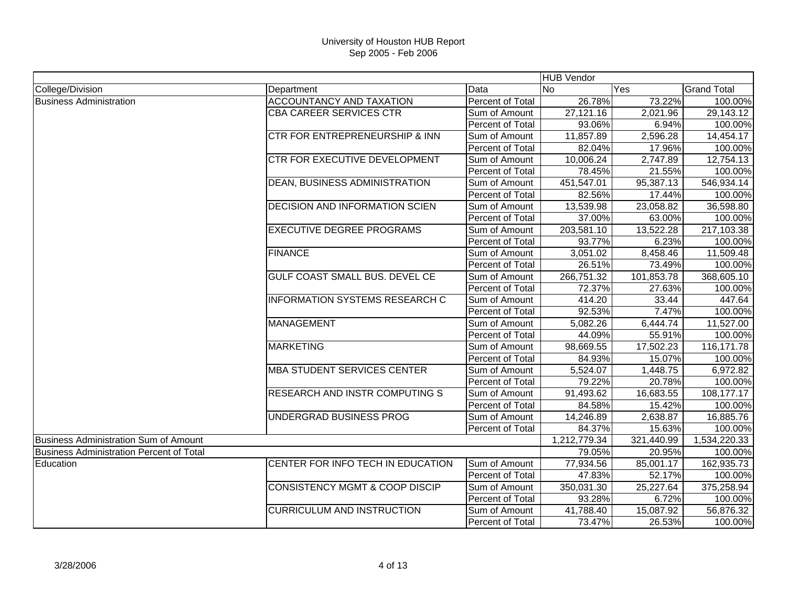|                                                 |                                           |                         | <b>HUB</b> Vendor |            |                    |
|-------------------------------------------------|-------------------------------------------|-------------------------|-------------------|------------|--------------------|
| College/Division                                | Department                                | Data                    | <b>No</b>         | Yes        | <b>Grand Total</b> |
| <b>Business Administration</b>                  | ACCOUNTANCY AND TAXATION                  | Percent of Total        | 26.78%            | 73.22%     | 100.00%            |
|                                                 | <b>CBA CAREER SERVICES CTR</b>            | Sum of Amount           | 27,121.16         | 2,021.96   | 29,143.12          |
|                                                 |                                           | Percent of Total        | 93.06%            | 6.94%      | 100.00%            |
|                                                 | <b>CTR FOR ENTREPRENEURSHIP &amp; INN</b> | Sum of Amount           | 11,857.89         | 2,596.28   | 14,454.17          |
|                                                 |                                           | Percent of Total        | 82.04%            | 17.96%     | 100.00%            |
|                                                 | CTR FOR EXECUTIVE DEVELOPMENT             | Sum of Amount           | 10,006.24         | 2,747.89   | 12,754.13          |
|                                                 |                                           | Percent of Total        | 78.45%            | 21.55%     | 100.00%            |
|                                                 | <b>DEAN, BUSINESS ADMINISTRATION</b>      | Sum of Amount           | 451,547.01        | 95,387.13  | 546,934.14         |
|                                                 |                                           | Percent of Total        | 82.56%            | 17.44%     | 100.00%            |
|                                                 | <b>DECISION AND INFORMATION SCIEN</b>     | Sum of Amount           | 13,539.98         | 23,058.82  | 36,598.80          |
|                                                 |                                           | Percent of Total        | 37.00%            | 63.00%     | 100.00%            |
|                                                 | <b>EXECUTIVE DEGREE PROGRAMS</b>          | Sum of Amount           | 203,581.10        | 13,522.28  | 217,103.38         |
|                                                 |                                           | Percent of Total        | 93.77%            | 6.23%      | 100.00%            |
|                                                 | <b>FINANCE</b>                            | Sum of Amount           | 3,051.02          | 8,458.46   | 11,509.48          |
|                                                 |                                           | Percent of Total        | 26.51%            | 73.49%     | 100.00%            |
|                                                 | GULF COAST SMALL BUS. DEVEL CE            | Sum of Amount           | 266,751.32        | 101,853.78 | 368,605.10         |
|                                                 |                                           | Percent of Total        | 72.37%            | 27.63%     | 100.00%            |
|                                                 | <b>INFORMATION SYSTEMS RESEARCH C</b>     | Sum of Amount           | 414.20            | 33.44      | 447.64             |
|                                                 |                                           | Percent of Total        | 92.53%            | 7.47%      | 100.00%            |
|                                                 | <b>MANAGEMENT</b>                         | Sum of Amount           | 5,082.26          | 6,444.74   | 11,527.00          |
|                                                 |                                           | Percent of Total        | 44.09%            | 55.91%     | 100.00%            |
|                                                 | <b>MARKETING</b>                          | Sum of Amount           | 98,669.55         | 17,502.23  | 116,171.78         |
|                                                 |                                           | Percent of Total        | 84.93%            | 15.07%     | 100.00%            |
|                                                 | <b>MBA STUDENT SERVICES CENTER</b>        | Sum of Amount           | 5,524.07          | 1,448.75   | 6,972.82           |
|                                                 |                                           | Percent of Total        | 79.22%            | 20.78%     | 100.00%            |
|                                                 | <b>RESEARCH AND INSTR COMPUTING S</b>     | Sum of Amount           | 91,493.62         | 16,683.55  | 108,177.17         |
|                                                 |                                           | Percent of Total        | 84.58%            | 15.42%     | 100.00%            |
|                                                 | UNDERGRAD BUSINESS PROG                   | Sum of Amount           | 14,246.89         | 2,638.87   | 16,885.76          |
|                                                 |                                           | Percent of Total        | 84.37%            | 15.63%     | 100.00%            |
| Business Administration Sum of Amount           |                                           |                         | 1,212,779.34      | 321,440.99 | 1,534,220.33       |
| <b>Business Administration Percent of Total</b> |                                           |                         | 79.05%            | 20.95%     | 100.00%            |
| Education                                       | CENTER FOR INFO TECH IN EDUCATION         | Sum of Amount           | 77,934.56         | 85,001.17  | 162,935.73         |
|                                                 |                                           | Percent of Total        | 47.83%            | 52.17%     | 100.00%            |
|                                                 | <b>CONSISTENCY MGMT &amp; COOP DISCIP</b> | Sum of Amount           | 350,031.30        | 25,227.64  | 375,258.94         |
|                                                 |                                           | Percent of Total        | 93.28%            | 6.72%      | 100.00%            |
|                                                 | <b>CURRICULUM AND INSTRUCTION</b>         | Sum of Amount           | 41,788.40         | 15,087.92  | 56,876.32          |
|                                                 |                                           | <b>Percent of Total</b> | 73.47%            | 26.53%     | 100.00%            |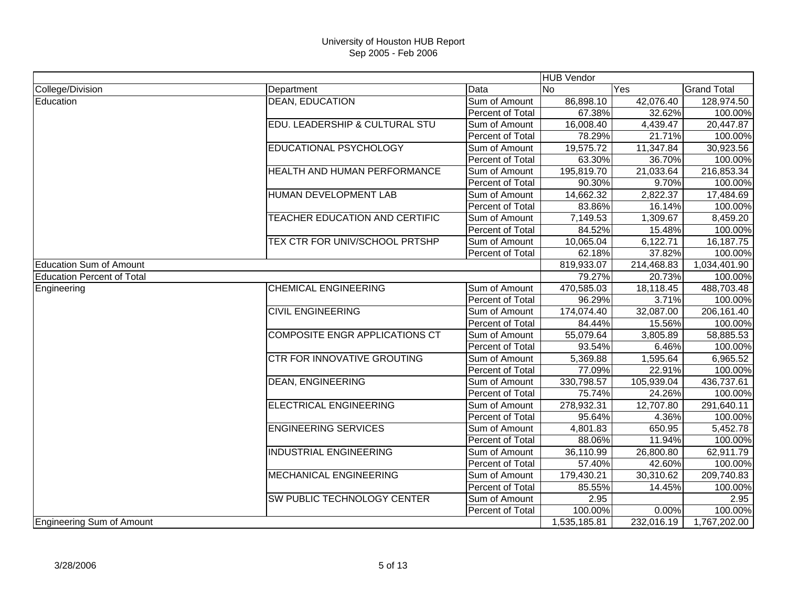|                                   |                                       |                         | <b>HUB</b> Vendor |                         |                    |
|-----------------------------------|---------------------------------------|-------------------------|-------------------|-------------------------|--------------------|
| College/Division                  | Department                            | Data                    | <b>No</b>         | $\overline{\text{Yes}}$ | <b>Grand Total</b> |
| Education                         | <b>DEAN, EDUCATION</b>                | Sum of Amount           | 86,898.10         | 42,076.40               | 128,974.50         |
|                                   |                                       | Percent of Total        | 67.38%            | 32.62%                  | 100.00%            |
|                                   | EDU. LEADERSHIP & CULTURAL STU        | Sum of Amount           | 16,008.40         | 4,439.47                | 20,447.87          |
|                                   |                                       | Percent of Total        | 78.29%            | 21.71%                  | 100.00%            |
|                                   | EDUCATIONAL PSYCHOLOGY                | Sum of Amount           | 19,575.72         | 11,347.84               | 30,923.56          |
|                                   |                                       | Percent of Total        | 63.30%            | 36.70%                  | 100.00%            |
|                                   | <b>HEALTH AND HUMAN PERFORMANCE</b>   | Sum of Amount           | 195,819.70        | 21,033.64               | 216,853.34         |
|                                   |                                       | Percent of Total        | 90.30%            | 9.70%                   | 100.00%            |
|                                   | HUMAN DEVELOPMENT LAB                 | Sum of Amount           | 14,662.32         | 2,822.37                | 17,484.69          |
|                                   |                                       | Percent of Total        | 83.86%            | 16.14%                  | 100.00%            |
|                                   | <b>TEACHER EDUCATION AND CERTIFIC</b> | Sum of Amount           | 7,149.53          | 1,309.67                | 8,459.20           |
|                                   |                                       | Percent of Total        | 84.52%            | 15.48%                  | 100.00%            |
|                                   | TEX CTR FOR UNIV/SCHOOL PRTSHP        | Sum of Amount           | 10,065.04         | 6,122.71                | 16,187.75          |
|                                   |                                       | <b>Percent of Total</b> | 62.18%            | 37.82%                  | 100.00%            |
| <b>Education Sum of Amount</b>    |                                       |                         | 819,933.07        | 214,468.83              | 1,034,401.90       |
| <b>Education Percent of Total</b> |                                       |                         | 79.27%            | 20.73%                  | 100.00%            |
| Engineering                       | <b>CHEMICAL ENGINEERING</b>           | Sum of Amount           | 470,585.03        | 18,118.45               | 488,703.48         |
|                                   |                                       | Percent of Total        | 96.29%            | 3.71%                   | 100.00%            |
|                                   | <b>CIVIL ENGINEERING</b>              | Sum of Amount           | 174,074.40        | 32,087.00               | 206,161.40         |
|                                   |                                       | <b>Percent of Total</b> | 84.44%            | 15.56%                  | 100.00%            |
|                                   | COMPOSITE ENGR APPLICATIONS CT        | Sum of Amount           | 55,079.64         | 3,805.89                | 58,885.53          |
|                                   |                                       | Percent of Total        | 93.54%            | 6.46%                   | 100.00%            |
|                                   | <b>CTR FOR INNOVATIVE GROUTING</b>    | Sum of Amount           | 5,369.88          | 1,595.64                | 6,965.52           |
|                                   |                                       | Percent of Total        | 77.09%            | 22.91%                  | 100.00%            |
|                                   | <b>DEAN, ENGINEERING</b>              | Sum of Amount           | 330,798.57        | 105,939.04              | 436,737.61         |
|                                   |                                       | Percent of Total        | 75.74%            | 24.26%                  | 100.00%            |
|                                   | <b>ELECTRICAL ENGINEERING</b>         | Sum of Amount           | 278,932.31        | 12,707.80               | 291,640.11         |
|                                   |                                       | Percent of Total        | 95.64%            | 4.36%                   | 100.00%            |
|                                   | <b>ENGINEERING SERVICES</b>           | Sum of Amount           | 4,801.83          | 650.95                  | 5,452.78           |
|                                   |                                       | Percent of Total        | 88.06%            | 11.94%                  | 100.00%            |
|                                   | INDUSTRIAL ENGINEERING                | Sum of Amount           | 36,110.99         | 26,800.80               | 62,911.79          |
|                                   |                                       | Percent of Total        | 57.40%            | 42.60%                  | 100.00%            |
|                                   | <b>MECHANICAL ENGINEERING</b>         | Sum of Amount           | 179,430.21        | 30,310.62               | 209,740.83         |
|                                   |                                       | Percent of Total        | 85.55%            | 14.45%                  | 100.00%            |
|                                   | <b>SW PUBLIC TECHNOLOGY CENTER</b>    | Sum of Amount           | 2.95              |                         | 2.95               |
|                                   |                                       | Percent of Total        | 100.00%           | 0.00%                   | 100.00%            |
| Engineering Sum of Amount         |                                       |                         | 1,535,185.81      | 232,016.19              | 1,767,202.00       |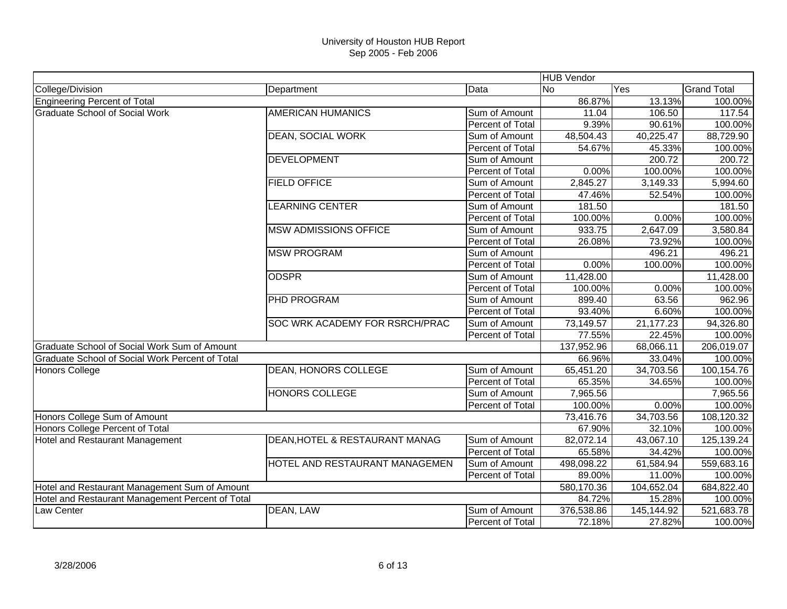|                                                  |                                |                  | <b>HUB Vendor</b> |            |                    |
|--------------------------------------------------|--------------------------------|------------------|-------------------|------------|--------------------|
| College/Division                                 | Department                     | Data             | <b>No</b>         | Yes        | <b>Grand Total</b> |
| <b>Engineering Percent of Total</b>              |                                |                  | 86.87%            | 13.13%     | 100.00%            |
| <b>Graduate School of Social Work</b>            | <b>AMERICAN HUMANICS</b>       | Sum of Amount    | 11.04             | 106.50     | 117.54             |
|                                                  |                                | Percent of Total | 9.39%             | 90.61%     | 100.00%            |
|                                                  | <b>DEAN, SOCIAL WORK</b>       | Sum of Amount    | 48,504.43         | 40,225.47  | 88,729.90          |
|                                                  |                                | Percent of Total | 54.67%            | 45.33%     | 100.00%            |
|                                                  | <b>DEVELOPMENT</b>             | Sum of Amount    |                   | 200.72     | 200.72             |
|                                                  |                                | Percent of Total | 0.00%             | 100.00%    | 100.00%            |
|                                                  | <b>FIELD OFFICE</b>            | Sum of Amount    | 2,845.27          | 3,149.33   | 5,994.60           |
|                                                  |                                | Percent of Total | 47.46%            | 52.54%     | 100.00%            |
|                                                  | <b>LEARNING CENTER</b>         | Sum of Amount    | 181.50            |            | 181.50             |
|                                                  |                                | Percent of Total | 100.00%           | 0.00%      | 100.00%            |
|                                                  | <b>MSW ADMISSIONS OFFICE</b>   | Sum of Amount    | 933.75            | 2,647.09   | 3,580.84           |
|                                                  |                                | Percent of Total | 26.08%            | 73.92%     | 100.00%            |
|                                                  | <b>MSW PROGRAM</b>             | Sum of Amount    |                   | 496.21     | 496.21             |
|                                                  |                                | Percent of Total | 0.00%             | 100.00%    | 100.00%            |
|                                                  | <b>ODSPR</b>                   | Sum of Amount    | 11,428.00         |            | 11,428.00          |
|                                                  |                                | Percent of Total | 100.00%           | 0.00%      | 100.00%            |
|                                                  | <b>PHD PROGRAM</b>             | Sum of Amount    | 899.40            | 63.56      | 962.96             |
|                                                  |                                | Percent of Total | 93.40%            | 6.60%      | 100.00%            |
|                                                  | SOC WRK ACADEMY FOR RSRCH/PRAC | Sum of Amount    | 73,149.57         | 21,177.23  | 94,326.80          |
|                                                  |                                | Percent of Total | 77.55%            | 22.45%     | 100.00%            |
| Graduate School of Social Work Sum of Amount     |                                |                  | 137,952.96        | 68,066.11  | 206,019.07         |
| Graduate School of Social Work Percent of Total  |                                |                  | 66.96%            | 33.04%     | 100.00%            |
| <b>Honors College</b>                            | <b>DEAN, HONORS COLLEGE</b>    | Sum of Amount    | 65,451.20         | 34,703.56  | 100,154.76         |
|                                                  |                                | Percent of Total | 65.35%            | 34.65%     | 100.00%            |
|                                                  | <b>HONORS COLLEGE</b>          | Sum of Amount    | 7,965.56          |            | 7,965.56           |
|                                                  |                                | Percent of Total | 100.00%           | 0.00%      | 100.00%            |
| Honors College Sum of Amount                     |                                |                  | 73,416.76         | 34,703.56  | 108,120.32         |
| Honors College Percent of Total                  |                                |                  | 67.90%            | 32.10%     | 100.00%            |
| Hotel and Restaurant Management                  | DEAN, HOTEL & RESTAURANT MANAG | Sum of Amount    | 82,072.14         | 43,067.10  | 125,139.24         |
|                                                  |                                | Percent of Total | 65.58%            | 34.42%     | 100.00%            |
|                                                  | HOTEL AND RESTAURANT MANAGEMEN | Sum of Amount    | 498,098.22        | 61,584.94  | 559,683.16         |
|                                                  |                                | Percent of Total | 89.00%            | 11.00%     | 100.00%            |
| Hotel and Restaurant Management Sum of Amount    |                                | 580,170.36       | 104,652.04        | 684,822.40 |                    |
| Hotel and Restaurant Management Percent of Total |                                |                  | 84.72%            | 15.28%     | 100.00%            |
| Law Center                                       | DEAN, LAW                      | Sum of Amount    | 376,538.86        | 145,144.92 | 521,683.78         |
|                                                  |                                | Percent of Total | 72.18%            | 27.82%     | 100.00%            |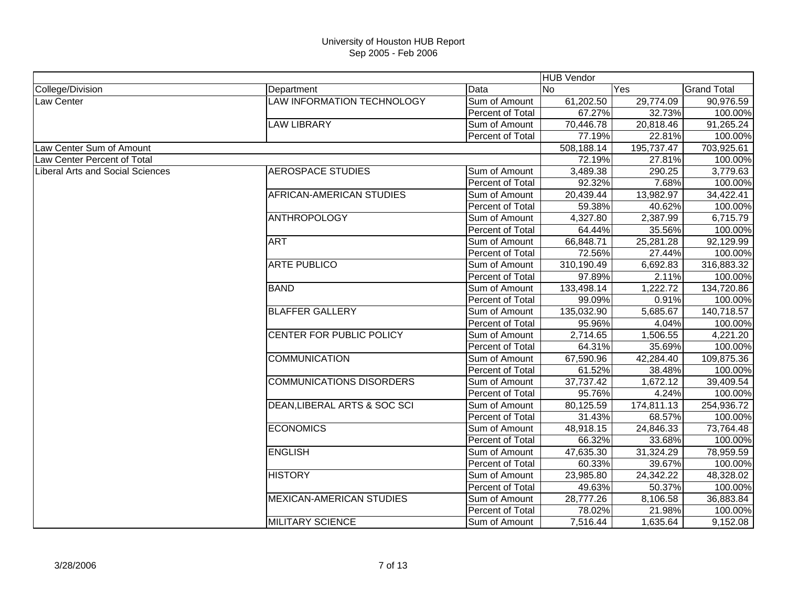|                                         |                                   |                         | <b>HUB Vendor</b> |            |                    |
|-----------------------------------------|-----------------------------------|-------------------------|-------------------|------------|--------------------|
| College/Division                        | Department                        | Data                    | <b>INo</b>        | Yes        | <b>Grand Total</b> |
| Law Center                              | <b>LAW INFORMATION TECHNOLOGY</b> | Sum of Amount           | 61,202.50         | 29,774.09  | 90,976.59          |
|                                         |                                   | <b>Percent of Total</b> | 67.27%            | 32.73%     | 100.00%            |
|                                         | <b>LAW LIBRARY</b>                | Sum of Amount           | 70,446.78         | 20,818.46  | 91,265.24          |
|                                         |                                   | Percent of Total        | 77.19%            | 22.81%     | 100.00%            |
| Law Center Sum of Amount                |                                   |                         | 508,188.14        | 195,737.47 | 703,925.61         |
| Law Center Percent of Total             |                                   |                         | 72.19%            | 27.81%     | 100.00%            |
| <b>Liberal Arts and Social Sciences</b> | <b>AEROSPACE STUDIES</b>          | Sum of Amount           | 3,489.38          | 290.25     | 3,779.63           |
|                                         |                                   | Percent of Total        | 92.32%            | 7.68%      | 100.00%            |
|                                         | AFRICAN-AMERICAN STUDIES          | Sum of Amount           | 20,439.44         | 13,982.97  | 34,422.41          |
|                                         |                                   | <b>Percent of Total</b> | 59.38%            | 40.62%     | 100.00%            |
|                                         | <b>ANTHROPOLOGY</b>               | Sum of Amount           | 4,327.80          | 2,387.99   | 6,715.79           |
|                                         |                                   | <b>Percent of Total</b> | 64.44%            | 35.56%     | 100.00%            |
|                                         | <b>ART</b>                        | Sum of Amount           | 66,848.71         | 25,281.28  | 92,129.99          |
|                                         |                                   | <b>Percent of Total</b> | 72.56%            | 27.44%     | 100.00%            |
|                                         | <b>ARTE PUBLICO</b>               | Sum of Amount           | 310,190.49        | 6,692.83   | 316,883.32         |
|                                         |                                   | Percent of Total        | 97.89%            | 2.11%      | 100.00%            |
|                                         | <b>BAND</b>                       | Sum of Amount           | 133,498.14        | 1,222.72   | 134,720.86         |
|                                         |                                   | <b>Percent of Total</b> | 99.09%            | 0.91%      | 100.00%            |
|                                         | <b>BLAFFER GALLERY</b>            | Sum of Amount           | 135,032.90        | 5,685.67   | 140,718.57         |
|                                         |                                   | Percent of Total        | 95.96%            | 4.04%      | 100.00%            |
|                                         | CENTER FOR PUBLIC POLICY          | Sum of Amount           | 2,714.65          | 1,506.55   | 4,221.20           |
|                                         |                                   | Percent of Total        | 64.31%            | 35.69%     | 100.00%            |
|                                         | <b>COMMUNICATION</b>              | Sum of Amount           | 67,590.96         | 42,284.40  | 109,875.36         |
|                                         |                                   | Percent of Total        | 61.52%            | 38.48%     | 100.00%            |
|                                         | <b>COMMUNICATIONS DISORDERS</b>   | Sum of Amount           | 37,737.42         | 1,672.12   | 39,409.54          |
|                                         |                                   | Percent of Total        | 95.76%            | 4.24%      | 100.00%            |
|                                         | DEAN, LIBERAL ARTS & SOC SCI      | Sum of Amount           | 80,125.59         | 174,811.13 | 254,936.72         |
|                                         |                                   | Percent of Total        | 31.43%            | 68.57%     | 100.00%            |
|                                         | <b>ECONOMICS</b>                  | Sum of Amount           | 48,918.15         | 24,846.33  | 73,764.48          |
|                                         |                                   | Percent of Total        | 66.32%            | 33.68%     | 100.00%            |
|                                         | <b>ENGLISH</b>                    | Sum of Amount           | 47,635.30         | 31,324.29  | 78,959.59          |
|                                         |                                   | Percent of Total        | 60.33%            | 39.67%     | 100.00%            |
|                                         | <b>HISTORY</b>                    | Sum of Amount           | 23,985.80         | 24,342.22  | 48,328.02          |
|                                         |                                   | Percent of Total        | 49.63%            | 50.37%     | 100.00%            |
|                                         | <b>MEXICAN-AMERICAN STUDIES</b>   | Sum of Amount           | 28,777.26         | 8,106.58   | 36,883.84          |
|                                         |                                   | Percent of Total        | 78.02%            | 21.98%     | 100.00%            |
|                                         | <b>MILITARY SCIENCE</b>           | Sum of Amount           | 7,516.44          | 1,635.64   | 9,152.08           |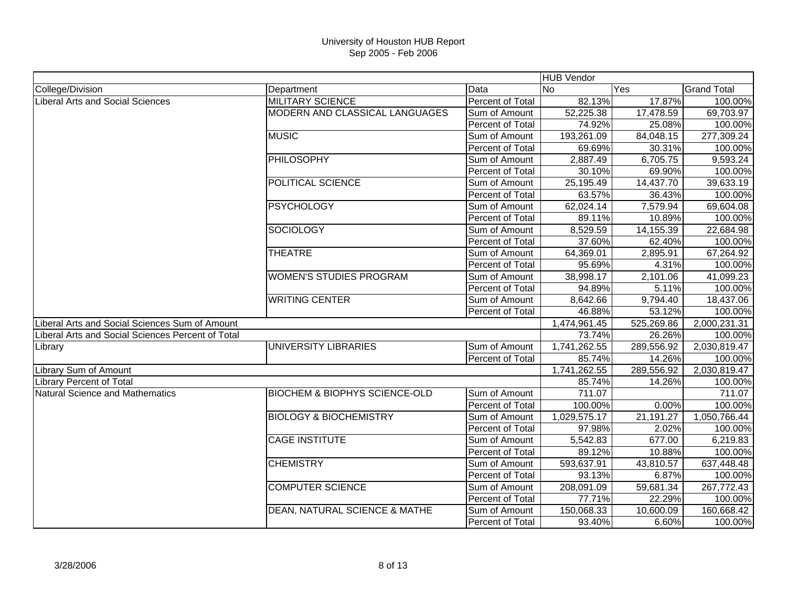|                                                   |                                          |                         | <b>HUB Vendor</b> |            |                    |
|---------------------------------------------------|------------------------------------------|-------------------------|-------------------|------------|--------------------|
| College/Division                                  | Department                               | Data                    | N <sub>o</sub>    | Yes        | <b>Grand Total</b> |
| <b>Liberal Arts and Social Sciences</b>           | <b>MILITARY SCIENCE</b>                  | Percent of Total        | 82.13%            | 17.87%     | 100.00%            |
|                                                   | MODERN AND CLASSICAL LANGUAGES           | Sum of Amount           | 52,225.38         | 17,478.59  | 69,703.97          |
|                                                   |                                          | Percent of Total        | 74.92%            | 25.08%     | 100.00%            |
|                                                   | <b>MUSIC</b>                             | Sum of Amount           | 193,261.09        | 84,048.15  | 277,309.24         |
|                                                   |                                          | Percent of Total        | 69.69%            | 30.31%     | 100.00%            |
|                                                   | <b>PHILOSOPHY</b>                        | Sum of Amount           | 2,887.49          | 6,705.75   | 9,593.24           |
|                                                   |                                          | Percent of Total        | 30.10%            | 69.90%     | 100.00%            |
|                                                   | <b>POLITICAL SCIENCE</b>                 | Sum of Amount           | 25,195.49         | 14,437.70  | 39,633.19          |
|                                                   |                                          | Percent of Total        | 63.57%            | 36.43%     | 100.00%            |
|                                                   | <b>PSYCHOLOGY</b>                        | Sum of Amount           | 62,024.14         | 7,579.94   | 69,604.08          |
|                                                   |                                          | Percent of Total        | 89.11%            | 10.89%     | 100.00%            |
|                                                   | <b>SOCIOLOGY</b>                         | Sum of Amount           | 8,529.59          | 14,155.39  | 22,684.98          |
|                                                   |                                          | Percent of Total        | 37.60%            | 62.40%     | 100.00%            |
|                                                   | <b>THEATRE</b>                           | Sum of Amount           | 64,369.01         | 2,895.91   | 67,264.92          |
|                                                   |                                          | Percent of Total        | 95.69%            | 4.31%      | 100.00%            |
|                                                   | <b>WOMEN'S STUDIES PROGRAM</b>           | Sum of Amount           | 38,998.17         | 2,101.06   | 41,099.23          |
|                                                   |                                          | Percent of Total        | 94.89%            | 5.11%      | 100.00%            |
|                                                   | <b>WRITING CENTER</b>                    | Sum of Amount           | 8,642.66          | 9,794.40   | 18,437.06          |
|                                                   |                                          | Percent of Total        | 46.88%            | 53.12%     | 100.00%            |
| Liberal Arts and Social Sciences Sum of Amount    |                                          |                         | 1,474,961.45      | 525,269.86 | 2,000,231.31       |
| Liberal Arts and Social Sciences Percent of Total |                                          |                         | 73.74%            | 26.26%     | 100.00%            |
| Library                                           | UNIVERSITY LIBRARIES                     | Sum of Amount           | 1,741,262.55      | 289,556.92 | 2,030,819.47       |
|                                                   |                                          | Percent of Total        | 85.74%            | 14.26%     | 100.00%            |
| Library Sum of Amount                             |                                          |                         | 1,741,262.55      | 289,556.92 | 2,030,819.47       |
| <b>Library Percent of Total</b>                   |                                          |                         | 85.74%            | 14.26%     | 100.00%            |
| Natural Science and Mathematics                   | <b>BIOCHEM &amp; BIOPHYS SCIENCE-OLD</b> | Sum of Amount           | 711.07            |            | 711.07             |
|                                                   |                                          | Percent of Total        | 100.00%           | 0.00%      | 100.00%            |
|                                                   | <b>BIOLOGY &amp; BIOCHEMISTRY</b>        | Sum of Amount           | 1,029,575.17      | 21,191.27  | 1,050,766.44       |
|                                                   |                                          | Percent of Total        | 97.98%            | 2.02%      | 100.00%            |
|                                                   | <b>CAGE INSTITUTE</b>                    | Sum of Amount           | 5,542.83          | 677.00     | 6,219.83           |
|                                                   |                                          | <b>Percent of Total</b> | 89.12%            | 10.88%     | 100.00%            |
|                                                   | <b>CHEMISTRY</b>                         | Sum of Amount           | 593,637.91        | 43,810.57  | 637,448.48         |
|                                                   |                                          | Percent of Total        | 93.13%            | 6.87%      | 100.00%            |
|                                                   | <b>COMPUTER SCIENCE</b>                  | Sum of Amount           | 208,091.09        | 59,681.34  | 267,772.43         |
|                                                   |                                          | Percent of Total        | 77.71%            | 22.29%     | 100.00%            |
|                                                   | <b>DEAN, NATURAL SCIENCE &amp; MATHE</b> | Sum of Amount           | 150,068.33        | 10,600.09  | 160,668.42         |
|                                                   |                                          | <b>Percent of Total</b> | 93.40%            | 6.60%      | 100.00%            |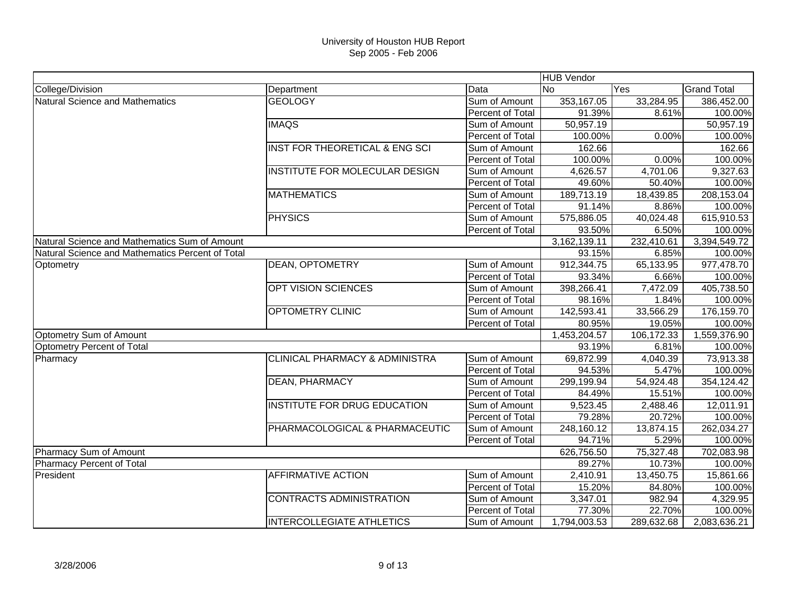|                                                  |                                           |                         | <b>HUB Vendor</b> |            |                    |
|--------------------------------------------------|-------------------------------------------|-------------------------|-------------------|------------|--------------------|
| College/Division                                 | Department                                | Data                    | <b>No</b>         | Yes        | <b>Grand Total</b> |
| Natural Science and Mathematics                  | <b>GEOLOGY</b>                            | Sum of Amount           | 353,167.05        | 33,284.95  | 386,452.00         |
|                                                  |                                           | Percent of Total        | 91.39%            | 8.61%      | 100.00%            |
|                                                  | <b>IMAQS</b>                              | Sum of Amount           | 50,957.19         |            | 50,957.19          |
|                                                  |                                           | Percent of Total        | 100.00%           | 0.00%      | 100.00%            |
|                                                  | <b>INST FOR THEORETICAL &amp; ENG SCI</b> | Sum of Amount           | 162.66            |            | 162.66             |
|                                                  |                                           | Percent of Total        | 100.00%           | 0.00%      | 100.00%            |
|                                                  | INSTITUTE FOR MOLECULAR DESIGN            | Sum of Amount           | 4,626.57          | 4,701.06   | 9,327.63           |
|                                                  |                                           | Percent of Total        | 49.60%            | 50.40%     | 100.00%            |
|                                                  | <b>MATHEMATICS</b>                        | Sum of Amount           | 189,713.19        | 18,439.85  | 208,153.04         |
|                                                  |                                           | <b>Percent of Total</b> | 91.14%            | 8.86%      | 100.00%            |
|                                                  | <b>PHYSICS</b>                            | Sum of Amount           | 575,886.05        | 40,024.48  | 615,910.53         |
|                                                  |                                           | Percent of Total        | 93.50%            | 6.50%      | 100.00%            |
| Natural Science and Mathematics Sum of Amount    |                                           |                         | 3,162,139.11      | 232,410.61 | 3,394,549.72       |
| Natural Science and Mathematics Percent of Total |                                           |                         | 93.15%            | 6.85%      | 100.00%            |
| Optometry                                        | <b>DEAN, OPTOMETRY</b>                    | Sum of Amount           | 912,344.75        | 65,133.95  | 977,478.70         |
|                                                  |                                           | Percent of Total        | 93.34%            | 6.66%      | 100.00%            |
|                                                  | <b>OPT VISION SCIENCES</b>                | Sum of Amount           | 398,266.41        | 7,472.09   | 405,738.50         |
|                                                  |                                           | Percent of Total        | 98.16%            | 1.84%      | 100.00%            |
|                                                  | <b>OPTOMETRY CLINIC</b>                   | Sum of Amount           | 142,593.41        | 33,566.29  | 176,159.70         |
|                                                  |                                           | Percent of Total        | 80.95%            | 19.05%     | 100.00%            |
| Optometry Sum of Amount                          |                                           |                         | 1,453,204.57      | 106,172.33 | 1,559,376.90       |
| Optometry Percent of Total                       |                                           |                         | 93.19%            | 6.81%      | 100.00%            |
| Pharmacy                                         | <b>CLINICAL PHARMACY &amp; ADMINISTRA</b> | Sum of Amount           | 69,872.99         | 4,040.39   | 73,913.38          |
|                                                  |                                           | Percent of Total        | 94.53%            | 5.47%      | 100.00%            |
|                                                  | <b>DEAN, PHARMACY</b>                     | Sum of Amount           | 299,199.94        | 54,924.48  | 354,124.42         |
|                                                  |                                           | Percent of Total        | 84.49%            | 15.51%     | 100.00%            |
|                                                  | <b>INSTITUTE FOR DRUG EDUCATION</b>       | Sum of Amount           | 9,523.45          | 2,488.46   | 12,011.91          |
|                                                  |                                           | Percent of Total        | 79.28%            | 20.72%     | 100.00%            |
|                                                  | PHARMACOLOGICAL & PHARMACEUTIC            | Sum of Amount           | 248,160.12        | 13,874.15  | 262,034.27         |
|                                                  |                                           | Percent of Total        | 94.71%            | 5.29%      | 100.00%            |
| Pharmacy Sum of Amount                           |                                           |                         | 626,756.50        | 75,327.48  | 702,083.98         |
| <b>Pharmacy Percent of Total</b>                 |                                           |                         | 89.27%            | 10.73%     | 100.00%            |
| President                                        | <b>AFFIRMATIVE ACTION</b>                 | Sum of Amount           | 2,410.91          | 13,450.75  | 15,861.66          |
|                                                  |                                           | Percent of Total        | 15.20%            | 84.80%     | 100.00%            |
|                                                  | <b>CONTRACTS ADMINISTRATION</b>           | Sum of Amount           | 3,347.01          | 982.94     | 4,329.95           |
|                                                  |                                           | Percent of Total        | 77.30%            | 22.70%     | 100.00%            |
|                                                  | <b>INTERCOLLEGIATE ATHLETICS</b>          | Sum of Amount           | 1,794,003.53      | 289,632.68 | 2,083,636.21       |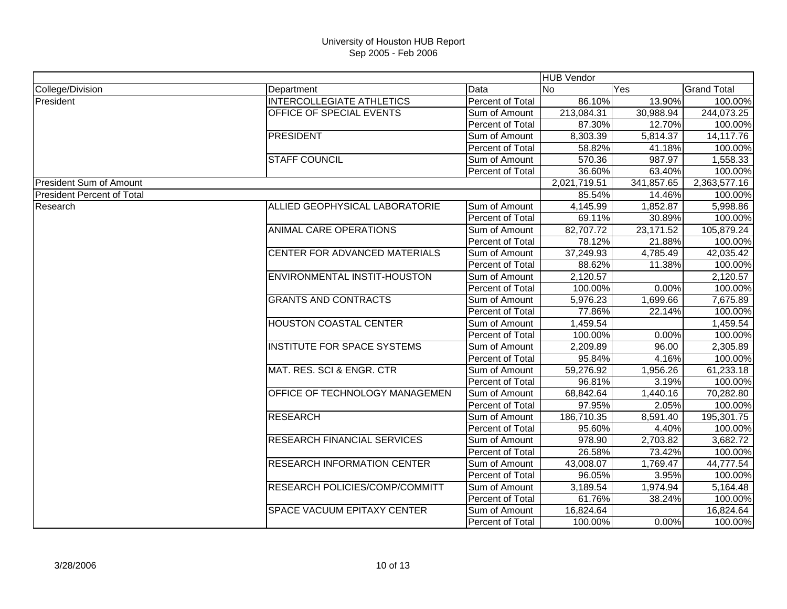|                                   |                                       |                         | <b>HUB Vendor</b> |            |                    |
|-----------------------------------|---------------------------------------|-------------------------|-------------------|------------|--------------------|
| College/Division                  | Department                            | Data                    | <b>No</b>         | Yes        | <b>Grand Total</b> |
| President                         | <b>INTERCOLLEGIATE ATHLETICS</b>      | Percent of Total        | 86.10%            | 13.90%     | 100.00%            |
|                                   | OFFICE OF SPECIAL EVENTS              | Sum of Amount           | 213,084.31        | 30,988.94  | 244,073.25         |
|                                   |                                       | Percent of Total        | 87.30%            | 12.70%     | 100.00%            |
|                                   | <b>PRESIDENT</b>                      | Sum of Amount           | 8,303.39          | 5,814.37   | 14,117.76          |
|                                   |                                       | Percent of Total        | 58.82%            | 41.18%     | 100.00%            |
|                                   | <b>STAFF COUNCIL</b>                  | Sum of Amount           | 570.36            | 987.97     | 1,558.33           |
|                                   |                                       | Percent of Total        | 36.60%            | 63.40%     | 100.00%            |
| <b>President Sum of Amount</b>    |                                       |                         | 2,021,719.51      | 341,857.65 | 2,363,577.16       |
| <b>President Percent of Total</b> |                                       |                         | 85.54%            | 14.46%     | 100.00%            |
| Research                          | ALLIED GEOPHYSICAL LABORATORIE        | Sum of Amount           | 4,145.99          | 1,852.87   | 5,998.86           |
|                                   |                                       | Percent of Total        | 69.11%            | 30.89%     | 100.00%            |
|                                   | <b>ANIMAL CARE OPERATIONS</b>         | Sum of Amount           | 82,707.72         | 23,171.52  | 105,879.24         |
|                                   |                                       | Percent of Total        | 78.12%            | 21.88%     | 100.00%            |
|                                   | CENTER FOR ADVANCED MATERIALS         | Sum of Amount           | 37,249.93         | 4,785.49   | 42,035.42          |
|                                   |                                       | Percent of Total        | 88.62%            | 11.38%     | 100.00%            |
|                                   | <b>ENVIRONMENTAL INSTIT-HOUSTON</b>   | Sum of Amount           | 2,120.57          |            | 2,120.57           |
|                                   |                                       | Percent of Total        | 100.00%           | 0.00%      | 100.00%            |
|                                   | <b>GRANTS AND CONTRACTS</b>           | Sum of Amount           | 5,976.23          | 1,699.66   | 7,675.89           |
|                                   |                                       | Percent of Total        | 77.86%            | 22.14%     | 100.00%            |
|                                   | <b>HOUSTON COASTAL CENTER</b>         | Sum of Amount           | 1,459.54          |            | 1,459.54           |
|                                   |                                       | Percent of Total        | 100.00%           | 0.00%      | 100.00%            |
|                                   | <b>INSTITUTE FOR SPACE SYSTEMS</b>    | Sum of Amount           | 2,209.89          | 96.00      | 2,305.89           |
|                                   |                                       | Percent of Total        | 95.84%            | 4.16%      | 100.00%            |
|                                   | MAT. RES. SCI & ENGR. CTR             | Sum of Amount           | 59,276.92         | 1,956.26   | 61,233.18          |
|                                   |                                       | Percent of Total        | 96.81%            | 3.19%      | 100.00%            |
|                                   | OFFICE OF TECHNOLOGY MANAGEMEN        | Sum of Amount           | 68,842.64         | 1,440.16   | 70,282.80          |
|                                   |                                       | Percent of Total        | 97.95%            | 2.05%      | 100.00%            |
|                                   | <b>RESEARCH</b>                       | Sum of Amount           | 186,710.35        | 8,591.40   | 195,301.75         |
|                                   |                                       | <b>Percent of Total</b> | 95.60%            | 4.40%      | 100.00%            |
|                                   | <b>RESEARCH FINANCIAL SERVICES</b>    | Sum of Amount           | 978.90            | 2,703.82   | 3,682.72           |
|                                   |                                       | Percent of Total        | 26.58%            | 73.42%     | 100.00%            |
|                                   | <b>RESEARCH INFORMATION CENTER</b>    | Sum of Amount           | 43,008.07         | 1,769.47   | 44,777.54          |
|                                   |                                       | Percent of Total        | 96.05%            | 3.95%      | 100.00%            |
|                                   | <b>RESEARCH POLICIES/COMP/COMMITT</b> | Sum of Amount           | 3,189.54          | 1,974.94   | 5,164.48           |
|                                   |                                       | Percent of Total        | 61.76%            | 38.24%     | 100.00%            |
|                                   | <b>SPACE VACUUM EPITAXY CENTER</b>    | Sum of Amount           | 16,824.64         |            | 16,824.64          |
|                                   |                                       | <b>Percent of Total</b> | 100.00%           | 0.00%      | 100.00%            |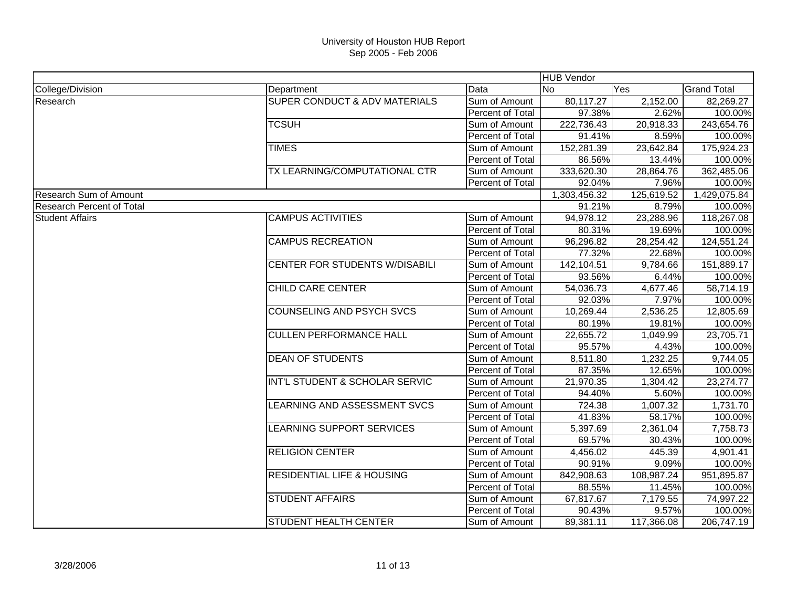|                                  |                                          |                         | <b>HUB Vendor</b> |                       |                    |
|----------------------------------|------------------------------------------|-------------------------|-------------------|-----------------------|--------------------|
| College/Division                 | Department                               | Data                    | lNo.              | Yes                   | <b>Grand Total</b> |
| Research                         | <b>SUPER CONDUCT &amp; ADV MATERIALS</b> | Sum of Amount           | 80,117.27         | 2,152.00              | 82,269.27          |
|                                  |                                          | Percent of Total        | 97.38%            | 2.62%                 | 100.00%            |
|                                  | <b>TCSUH</b>                             | Sum of Amount           | 222,736.43        | 20,918.33             | 243,654.76         |
|                                  |                                          | Percent of Total        | 91.41%            | 8.59%                 | 100.00%            |
|                                  | <b>TIMES</b>                             | Sum of Amount           | 152,281.39        | 23,642.84             | 175,924.23         |
|                                  |                                          | Percent of Total        | 86.56%            | 13.44%                | 100.00%            |
|                                  | TX LEARNING/COMPUTATIONAL CTR            | Sum of Amount           | 333,620.30        | 28,864.76             | 362,485.06         |
|                                  |                                          | Percent of Total        | 92.04%            | 7.96%                 | 100.00%            |
| <b>Research Sum of Amount</b>    |                                          |                         | 1,303,456.32      | 125,619.52            | 1,429,075.84       |
| <b>Research Percent of Total</b> |                                          |                         | 91.21%            | 8.79%                 | 100.00%            |
| <b>Student Affairs</b>           | <b>CAMPUS ACTIVITIES</b>                 | Sum of Amount           | 94,978.12         | 23,288.96             | 118,267.08         |
|                                  |                                          | Percent of Total        | 80.31%            | 19.69%                | 100.00%            |
|                                  | <b>CAMPUS RECREATION</b>                 | Sum of Amount           | 96,296.82         | 28,254.42             | 124,551.24         |
|                                  |                                          | Percent of Total        | 77.32%            | 22.68%                | 100.00%            |
|                                  | <b>CENTER FOR STUDENTS W/DISABILI</b>    | Sum of Amount           | 142,104.51        | 9,784.66              | 151,889.17         |
|                                  |                                          | Percent of Total        | 93.56%            | 6.44%                 | 100.00%            |
|                                  | <b>CHILD CARE CENTER</b>                 | Sum of Amount           | 54,036.73         | 4,677.46              | 58,714.19          |
|                                  |                                          | <b>Percent of Total</b> | 92.03%            | 7.97%                 | 100.00%            |
|                                  | <b>COUNSELING AND PSYCH SVCS</b>         | Sum of Amount           | 10,269.44         | 2,536.25              | 12,805.69          |
|                                  |                                          | Percent of Total        | 80.19%            | 19.81%                | 100.00%            |
|                                  | <b>CULLEN PERFORMANCE HALL</b>           | Sum of Amount           | 22,655.72         | 1,049.99              | 23,705.71          |
|                                  |                                          | Percent of Total        | 95.57%            | 4.43%                 | 100.00%            |
|                                  | <b>DEAN OF STUDENTS</b>                  | Sum of Amount           | 8,511.80          | 1,232.25              | 9,744.05           |
|                                  |                                          | Percent of Total        | 87.35%            | 12.65%                | 100.00%            |
|                                  | INT'L STUDENT & SCHOLAR SERVIC           | Sum of Amount           | 21,970.35         | $1,304.\overline{42}$ | 23,274.77          |
|                                  |                                          | Percent of Total        | 94.40%            | 5.60%                 | 100.00%            |
|                                  | LEARNING AND ASSESSMENT SVCS             | Sum of Amount           | 724.38            | 1,007.32              | 1,731.70           |
|                                  |                                          | Percent of Total        | 41.83%            | 58.17%                | 100.00%            |
|                                  | LEARNING SUPPORT SERVICES                | Sum of Amount           | 5,397.69          | 2,361.04              | 7,758.73           |
|                                  |                                          | Percent of Total        | 69.57%            | 30.43%                | 100.00%            |
|                                  | <b>RELIGION CENTER</b>                   | Sum of Amount           | 4,456.02          | 445.39                | 4,901.41           |
|                                  |                                          | Percent of Total        | 90.91%            | 9.09%                 | 100.00%            |
|                                  | <b>RESIDENTIAL LIFE &amp; HOUSING</b>    | Sum of Amount           | 842,908.63        | 108,987.24            | 951,895.87         |
|                                  |                                          | Percent of Total        | 88.55%            | 11.45%                | 100.00%            |
|                                  | <b>STUDENT AFFAIRS</b>                   | Sum of Amount           | 67,817.67         | 7,179.55              | 74,997.22          |
|                                  |                                          | Percent of Total        | 90.43%            | 9.57%                 | 100.00%            |
|                                  | <b>STUDENT HEALTH CENTER</b>             | Sum of Amount           | 89,381.11         | 117,366.08            | 206,747.19         |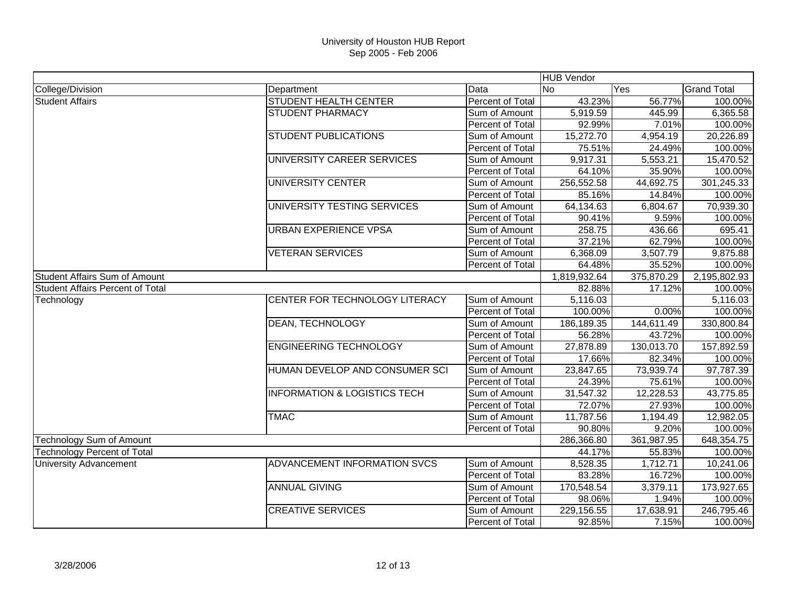|                                         |                                         |                         | <b>HUB Vendor</b> |            |                    |
|-----------------------------------------|-----------------------------------------|-------------------------|-------------------|------------|--------------------|
| College/Division                        | Department                              | Data                    | <b>INo</b>        | Yes        | <b>Grand Total</b> |
| <b>Student Affairs</b>                  | STUDENT HEALTH CENTER                   | Percent of Total        | 43.23%            | 56.77%     | 100.00%            |
|                                         | <b>STUDENT PHARMACY</b>                 | Sum of Amount           | 5,919.59          | 445.99     | 6,365.58           |
|                                         |                                         | Percent of Total        | 92.99%            | 7.01%      | 100.00%            |
|                                         | <b>STUDENT PUBLICATIONS</b>             | Sum of Amount           | 15,272.70         | 4,954.19   | 20,226.89          |
|                                         |                                         | Percent of Total        | 75.51%            | 24.49%     | 100.00%            |
|                                         | UNIVERSITY CAREER SERVICES              | Sum of Amount           | 9,917.31          | 5,553.21   | 15,470.52          |
|                                         |                                         | Percent of Total        | 64.10%            | 35.90%     | 100.00%            |
|                                         | <b>UNIVERSITY CENTER</b>                | Sum of Amount           | 256,552.58        | 44,692.75  | 301,245.33         |
|                                         |                                         | Percent of Total        | 85.16%            | 14.84%     | 100.00%            |
|                                         | UNIVERSITY TESTING SERVICES             | Sum of Amount           | 64,134.63         | 6,804.67   | 70,939.30          |
|                                         |                                         | Percent of Total        | 90.41%            | 9.59%      | 100.00%            |
|                                         | <b>URBAN EXPERIENCE VPSA</b>            | Sum of Amount           | 258.75            | 436.66     | 695.41             |
|                                         |                                         | Percent of Total        | 37.21%            | 62.79%     | 100.00%            |
|                                         | <b>VETERAN SERVICES</b>                 | Sum of Amount           | 6,368.09          | 3,507.79   | 9,875.88           |
|                                         |                                         | Percent of Total        | 64.48%            | 35.52%     | 100.00%            |
| <b>Student Affairs Sum of Amount</b>    |                                         |                         | 1,819,932.64      | 375,870.29 | 2,195,802.93       |
| <b>Student Affairs Percent of Total</b> |                                         |                         | 82.88%            | 17.12%     | 100.00%            |
| Technology                              | CENTER FOR TECHNOLOGY LITERACY          | Sum of Amount           | 5,116.03          |            | 5,116.03           |
|                                         |                                         | Percent of Total        | 100.00%           | 0.00%      | 100.00%            |
|                                         | DEAN, TECHNOLOGY                        | Sum of Amount           | 186,189.35        | 144,611.49 | 330,800.84         |
|                                         |                                         | <b>Percent of Total</b> | 56.28%            | 43.72%     | 100.00%            |
|                                         | <b>ENGINEERING TECHNOLOGY</b>           | Sum of Amount           | 27,878.89         | 130,013.70 | 157,892.59         |
|                                         |                                         | Percent of Total        | 17.66%            | 82.34%     | 100.00%            |
|                                         | HUMAN DEVELOP AND CONSUMER SCI          | Sum of Amount           | 23,847.65         | 73,939.74  | 97,787.39          |
|                                         |                                         | Percent of Total        | 24.39%            | 75.61%     | 100.00%            |
|                                         | <b>INFORMATION &amp; LOGISTICS TECH</b> | Sum of Amount           | 31,547.32         | 12,228.53  | 43,775.85          |
|                                         |                                         | Percent of Total        | 72.07%            | 27.93%     | 100.00%            |
|                                         | <b>TMAC</b>                             | Sum of Amount           | 11,787.56         | 1,194.49   | 12,982.05          |
|                                         |                                         | <b>Percent of Total</b> | 90.80%            | 9.20%      | 100.00%            |
| <b>Technology Sum of Amount</b>         |                                         |                         | 286,366.80        | 361,987.95 | 648,354.75         |
| <b>Technology Percent of Total</b>      |                                         |                         | 44.17%            | 55.83%     | 100.00%            |
| <b>University Advancement</b>           | ADVANCEMENT INFORMATION SVCS            | Sum of Amount           | 8,528.35          | 1,712.71   | 10,241.06          |
|                                         |                                         | Percent of Total        | 83.28%            | 16.72%     | 100.00%            |
|                                         | <b>ANNUAL GIVING</b>                    | Sum of Amount           | 170,548.54        | 3,379.11   | 173,927.65         |
|                                         |                                         | Percent of Total        | 98.06%            | 1.94%      | 100.00%            |
|                                         | <b>CREATIVE SERVICES</b>                | Sum of Amount           | 229,156.55        | 17,638.91  | 246,795.46         |
|                                         |                                         | <b>Percent of Total</b> | 92.85%            | 7.15%      | 100.00%            |